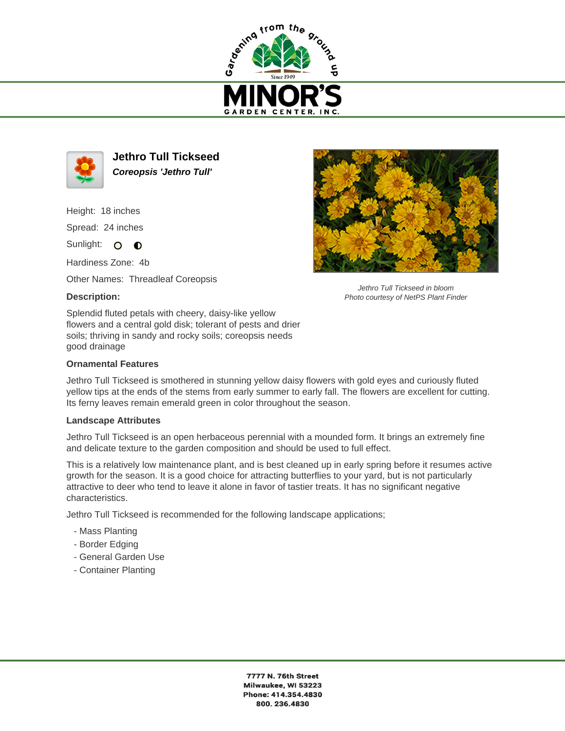



**Jethro Tull Tickseed Coreopsis 'Jethro Tull'**

Height: 18 inches

Spread: 24 inches

Sunlight: O **O** 

Hardiness Zone: 4b

Other Names: Threadleaf Coreopsis

## **Description:**



## **Ornamental Features**

Jethro Tull Tickseed is smothered in stunning yellow daisy flowers with gold eyes and curiously fluted yellow tips at the ends of the stems from early summer to early fall. The flowers are excellent for cutting. Its ferny leaves remain emerald green in color throughout the season.

## **Landscape Attributes**

Jethro Tull Tickseed is an open herbaceous perennial with a mounded form. It brings an extremely fine and delicate texture to the garden composition and should be used to full effect.

This is a relatively low maintenance plant, and is best cleaned up in early spring before it resumes active growth for the season. It is a good choice for attracting butterflies to your yard, but is not particularly attractive to deer who tend to leave it alone in favor of tastier treats. It has no significant negative characteristics.

Jethro Tull Tickseed is recommended for the following landscape applications;

- Mass Planting
- Border Edging
- General Garden Use
- Container Planting



Jethro Tull Tickseed in bloom Photo courtesy of NetPS Plant Finder

7777 N. 76th Street Milwaukee, WI 53223 Phone: 414.354.4830 800.236.4830